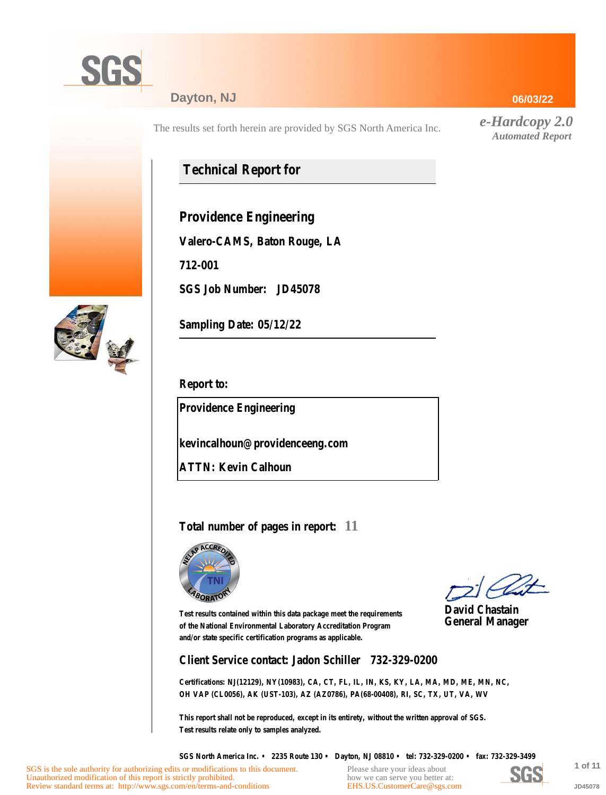

#### **Dayton, NJ**

The results set forth herein are provided by SGS North America Inc.

# **Technical Report for**

**Providence Engineering**

**Valero-CAMS, Baton Rouge, LA**

**712-001**

**SGS Job Number: JD45078**



**Sampling Date: 05/12/22**

**Report to:**

**Providence Engineering**

**kevincalhoun@providenceeng.com**

**ATTN: Kevin Calhoun**

#### **Total number of pages in report: 11**



**David Chastain General Manager**

**Test results contained within this data package meet the requirements of the National Environmental Laboratory Accreditation Program and/or state specific certification programs as applicable.**

**Client Service contact: Jadon Schiller 732-329-0200**

**Certifications: NJ(12129), NY(10983), CA, CT, FL, IL, IN, KS, KY, LA, MA, MD, ME, MN, NC, OH VAP (CL0056), AK (UST-103), AZ (AZ0786), PA(68-00408), RI, SC, TX, UT, VA, WV**

**This report shall not be reproduced, except in its entirety, without the written approval of SGS. Test results relate only to samples analyzed.**

**SGS North America Inc. • 2235 Route 130 • Dayton, NJ 08810 • tel: 732-329-0200 • fax: 732-329-3499**

Please share your ideas about how we can serve you better at: [EHS.US.CustomerCare@sgs.com](mailto:EHS.US.CustomerCare@sgs.com?subject=Customer care improvement idea (report JD45078))



**1 of 11 JD45078**

**06/03/22**

*e-Hardcopy 2.0 Automated Report*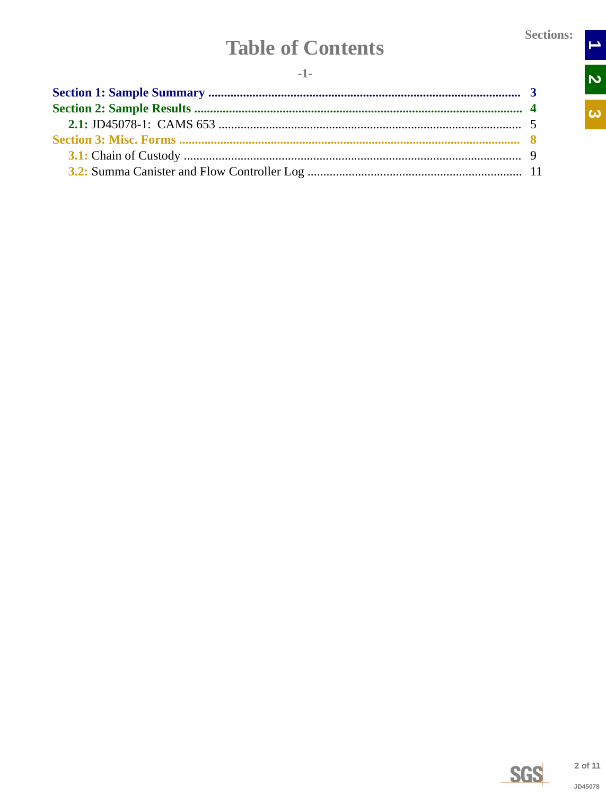$\begin{array}{c|c} \text{1} & \text{2} \\ \hline \text{2} & \text{3} \\ \end{array}$ 

 $\overline{\mathbf{c}}$ 

# **Table of Contents**

<span id="page-1-0"></span>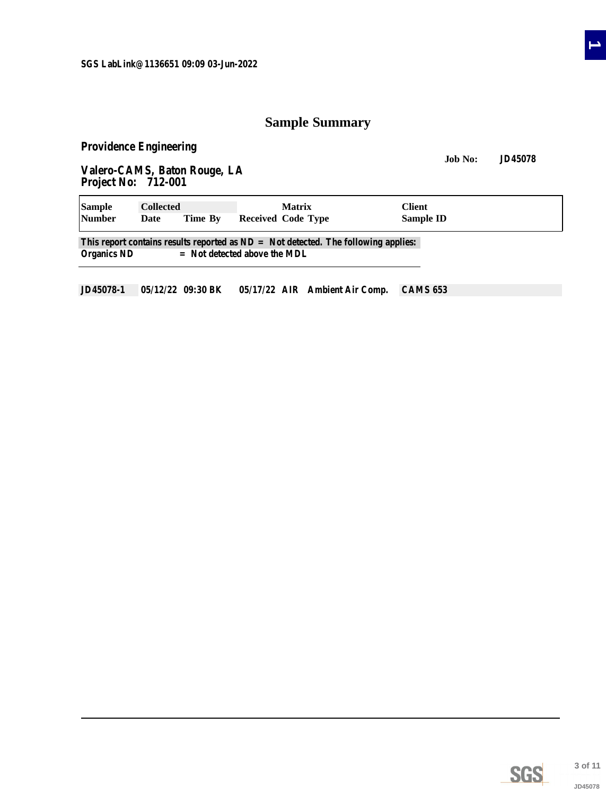## **Sample Summary**

<span id="page-2-0"></span>**Providence Engineering**

**Job No: JD45078 Valero-CAMS, Baton Rouge, LA Project No: 712-001**

| <b>Sample</b>      | <b>Collected</b> |         | <b>Matrix</b>                                                                                                          | <b>Client</b> |  |
|--------------------|------------------|---------|------------------------------------------------------------------------------------------------------------------------|---------------|--|
| <b>Number</b>      | Date             | Time By | Received Code Type                                                                                                     | Sample ID     |  |
| <b>Organics ND</b> |                  |         | This report contains results reported as $ND = Not$ detected. The following applies:<br>$=$ Not detected above the MDL |               |  |
|                    |                  |         |                                                                                                                        |               |  |

**JD45078-1 05/12/22 09:30 BK 05/17/22 AIR Ambient Air Comp. CAMS 653**



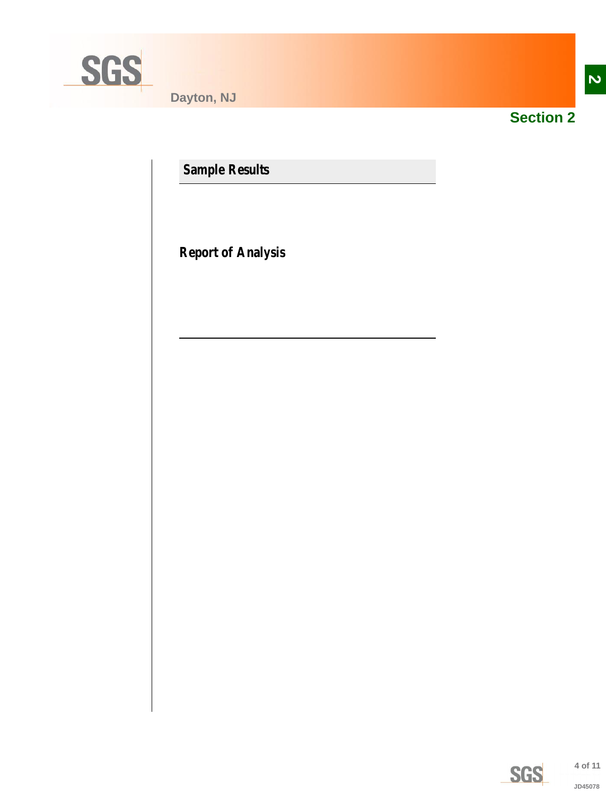<span id="page-3-0"></span>

**Dayton, NJ**



**Section 2**

**Sample Results**

**Report of Analysis**

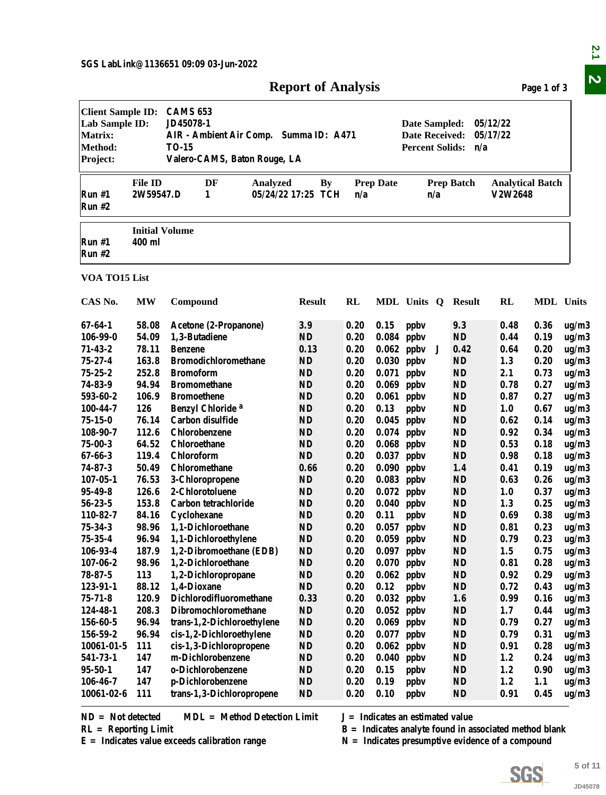| <b>Client Sample ID:</b><br>Lab Sample ID:<br><b>Matrix:</b><br><b>Method:</b> |                                 | <b>CAMS 653</b><br>JD45078-1<br><b>TO-15</b> |                                        | AIR - Ambient Air Comp. Summa ID: A471 |               |    |              |                             | Date Sampled:<br>Date Received:<br><b>Percent Solids:</b> |     | n/a               | 05/12/22<br>05/17/22               |                  |                              |
|--------------------------------------------------------------------------------|---------------------------------|----------------------------------------------|----------------------------------------|----------------------------------------|---------------|----|--------------|-----------------------------|-----------------------------------------------------------|-----|-------------------|------------------------------------|------------------|------------------------------|
| Project:                                                                       |                                 |                                              |                                        | Valero-CAMS, Baton Rouge, LA           |               |    |              |                             |                                                           |     |                   |                                    |                  |                              |
| Run #1<br>Run #2                                                               | <b>File ID</b><br>2W59547.D     |                                              | DF<br>1                                | Analyzed<br>05/24/22 17:25 TCH         |               | By | n/a          | <b>Prep Date</b>            |                                                           | n/a | <b>Prep Batch</b> | <b>Analytical Batch</b><br>V2W2648 |                  |                              |
| Run #1<br>Run #2                                                               | <b>Initial Volume</b><br>400 ml |                                              |                                        |                                        |               |    |              |                             |                                                           |     |                   |                                    |                  |                              |
| VOA TO15 List                                                                  |                                 |                                              |                                        |                                        |               |    |              |                             |                                                           |     |                   |                                    |                  |                              |
| CAS No.                                                                        | <b>MW</b>                       | Compound                                     |                                        |                                        | <b>Result</b> |    | RL           |                             | MDL Units Q                                               |     | Result            | RL                                 | <b>MDL</b> Units |                              |
| 67-64-1<br>106-99-0                                                            | 58.08<br>54.09                  |                                              | Acetone (2-Propanone)<br>1,3-Butadiene |                                        | 3.9<br>ND     |    | 0.20<br>0.20 | $0.15$ ppbv<br>$0.084$ ppbv |                                                           |     | 9.3<br>ND         | 0.48<br>0.44                       | 0.36<br>0.19     | ug/m<br>ug/m                 |
| 71-43-2<br>75-27-4                                                             | 78.11<br>163.8                  | <b>Benzene</b>                               | <b>Bromodichloromethane</b>            |                                        | 0.13<br>ND    |    | 0.20<br>0.20 | $0.030$ ppbv                | $0.062$ ppbv J                                            |     | 0.42<br><b>ND</b> | 0.64<br>1.3                        | 0.20<br>0.20     | ug/m<br>ug/m                 |
| 75.95.9                                                                        | 959 Q                           | <b>Rromoform</b>                             |                                        |                                        | <b>ND</b>     |    | በ 9በ         | $0.071$ nnh <sub>v</sub>    |                                                           |     | ND.               | 91                                 | በ 72             | $\mathbf{u}$ a/m $^{\prime}$ |

### **Report of Analysis Page 1 of 3**

<span id="page-4-0"></span>

|                                                                                     |                                 |                                                                                                                        | <b>Report of Analysis</b>       |           |                                                           |                             |                   |                                    | Page 1 of 3 |                |
|-------------------------------------------------------------------------------------|---------------------------------|------------------------------------------------------------------------------------------------------------------------|---------------------------------|-----------|-----------------------------------------------------------|-----------------------------|-------------------|------------------------------------|-------------|----------------|
| <b>Client Sample ID:</b><br>Lab Sample ID:<br><b>Matrix:</b><br>Method:<br>Project: |                                 | <b>CAMS 653</b><br>JD45078-1<br>AIR - Ambient Air Comp. Summa ID: A471<br><b>TO-15</b><br>Valero-CAMS, Baton Rouge, LA |                                 |           | Date Sampled:<br>Date Received:<br><b>Percent Solids:</b> | 05/12/22<br>05/17/22<br>n/a |                   |                                    |             |                |
| Run#1<br>Run#2                                                                      | <b>File ID</b><br>2W59547.D     | DF<br><b>Analyzed</b><br>1                                                                                             | <b>By</b><br>05/24/22 17:25 TCH | n/a       | <b>Prep Date</b>                                          | n/a                         | <b>Prep Batch</b> | <b>Analytical Batch</b><br>V2W2648 |             |                |
| Run#1<br>Run#2                                                                      | <b>Initial Volume</b><br>400 ml |                                                                                                                        |                                 |           |                                                           |                             |                   |                                    |             |                |
| VOA TO15 List                                                                       |                                 |                                                                                                                        |                                 |           |                                                           |                             |                   |                                    |             |                |
| CAS No.                                                                             | <b>MW</b>                       | Compound                                                                                                               | <b>Result</b>                   | <b>RL</b> |                                                           | MDL Units Q                 | <b>Result</b>     | <b>RL</b>                          | MDL Units   |                |
| $67 - 64 - 1$                                                                       | 58.08                           | Acetone (2-Propanone)                                                                                                  | 3.9                             | 0.20      | 0.15                                                      | ppby                        | 9.3               | 0.48                               | 0.36        | ug/m3          |
| $106 - 99 - 0$                                                                      | 54.09                           | 1,3-Butadiene                                                                                                          | <b>ND</b>                       | 0.20      | 0.084                                                     | ppby                        | <b>ND</b>         | 0.44                               | 0.19        | ug/m3          |
| $71 - 43 - 2$                                                                       | 78.11                           | <b>Benzene</b>                                                                                                         | 0.13                            | 0.20      | 0.062                                                     | ppby<br>J                   | 0.42              | 0.64                               | 0.20        | ug/m3          |
| $75 - 27 - 4$                                                                       | 163.8                           | <b>Bromodichloromethane</b>                                                                                            | <b>ND</b>                       | 0.20      | 0.030                                                     | ppby                        | <b>ND</b>         | 1.3                                | 0.20        | ug/m3          |
| $75 - 25 - 2$                                                                       | 252.8                           | <b>Bromoform</b>                                                                                                       | <b>ND</b>                       | 0.20      | 0.071                                                     | ppby                        | <b>ND</b>         | 2.1                                | 0.73        | ug/m3          |
| 74-83-9                                                                             | 94.94                           | <b>Bromomethane</b>                                                                                                    | <b>ND</b>                       | 0.20      | 0.069                                                     | ppby                        | <b>ND</b>         | 0.78                               | 0.27        | ug/m3          |
| 593-60-2                                                                            | 106.9                           | <b>Bromoethene</b>                                                                                                     | <b>ND</b>                       | 0.20      | 0.061                                                     | ppby                        | <b>ND</b>         | 0.87                               | 0.27        | ug/m3          |
| 100-44-7                                                                            | 126                             | Benzyl Chloride <sup>a</sup>                                                                                           | <b>ND</b>                       | 0.20      | 0.13                                                      | ppby                        | <b>ND</b>         | 1.0                                | 0.67        | ug/m3          |
| $75 - 15 - 0$                                                                       | 76.14                           | Carbon disulfide                                                                                                       | <b>ND</b>                       | 0.20      | $0.045$ ppbv                                              |                             | <b>ND</b>         | 0.62                               | 0.14        | ug/m3          |
| 108-90-7                                                                            | 112.6                           | Chlorobenzene                                                                                                          | <b>ND</b>                       | 0.20      | $0.074$ ppbv                                              |                             | <b>ND</b>         | 0.92                               | 0.34        | ug/m3          |
| $75 - 00 - 3$                                                                       | 64.52                           | <b>Chloroethane</b>                                                                                                    | <b>ND</b>                       | 0.20      | 0.068                                                     | ppby                        | ND                | 0.53                               | 0.18        | ug/m3          |
| 67-66-3                                                                             | 119.4                           | Chloroform                                                                                                             | <b>ND</b>                       | 0.20      | 0.037                                                     | ppby                        | <b>ND</b>         | 0.98                               | 0.18        | ug/m3          |
| $74 - 87 - 3$                                                                       | 50.49                           | Chloromethane                                                                                                          | 0.66                            | 0.20      | 0.090                                                     | ppby                        | 1.4               | 0.41                               | 0.19        | ug/m3          |
| $107 - 05 - 1$                                                                      | 76.53                           | 3-Chloropropene                                                                                                        | <b>ND</b>                       | 0.20      | 0.083                                                     | ppby                        | <b>ND</b>         | 0.63                               | 0.26        | ug/m3          |
| $95 - 49 - 8$                                                                       | 126.6                           | 2-Chlorotoluene                                                                                                        | <b>ND</b>                       | 0.20      | 0.072                                                     | ppby                        | ND                | 1.0                                | 0.37        | ug/m3          |
| $56 - 23 - 5$                                                                       | 153.8                           | Carbon tetrachloride                                                                                                   | <b>ND</b>                       | 0.20      | $0.040$ ppbv                                              |                             | <b>ND</b>         | 1.3                                | 0.25        | ug/m3          |
| 110-82-7                                                                            | 84.16                           | Cyclohexane                                                                                                            | <b>ND</b>                       | 0.20      | 0.11                                                      | ppby                        | <b>ND</b>         | 0.69                               | 0.38        | $\, \rm ug/m3$ |
| $75 - 34 - 3$                                                                       | 98.96                           | 1,1-Dichloroethane                                                                                                     | <b>ND</b>                       | 0.20      | 0.057 ppbv                                                |                             | <b>ND</b>         | 0.81                               | 0.23        | ug/m3          |
| $75 - 35 - 4$                                                                       | 96.94                           | 1,1-Dichloroethylene                                                                                                   | <b>ND</b>                       | 0.20      | $0.059$ ppbv                                              |                             | <b>ND</b>         | 0.79                               | 0.23        | ug/m3          |
| 106-93-4                                                                            | 187.9                           | 1,2-Dibromoethane (EDB)                                                                                                | <b>ND</b>                       | 0.20      | $0.097$ ppbv                                              |                             | <b>ND</b>         | 1.5                                | 0.75        | ug/m3          |
| $107 - 06 - 2$                                                                      | 98.96                           | 1,2-Dichloroethane                                                                                                     | <b>ND</b>                       | 0.20      | $0.070$ ppbv                                              |                             | <b>ND</b>         | 0.81                               | 0.28        | ug/m3          |
| $78 - 87 - 5$                                                                       | 113                             | 1,2-Dichloropropane                                                                                                    | <b>ND</b>                       | 0.20      | $0.062$ ppbv                                              |                             | <b>ND</b>         | 0.92                               | 0.29        | ug/m3          |
| $123 - 91 - 1$                                                                      | 88.12                           | 1,4-Dioxane                                                                                                            | <b>ND</b>                       | 0.20      | 0.12                                                      | ppby                        | <b>ND</b>         | 0.72                               | 0.43        | ug/m3          |
| $75 - 71 - 8$                                                                       | 120.9                           | Dichlorodifluoromethane                                                                                                | 0.33                            | 0.20      |                                                           | $0.032$ ppbv                | 1.6               | 0.99                               | 0.16        | ug/m3          |
| 124-48-1                                                                            | 208.3                           | Dibromochloromethane                                                                                                   | <b>ND</b>                       | 0.20      | $0.052$ ppbv                                              |                             | <b>ND</b>         | 1.7                                | 0.44        | ug/m3          |
| 156-60-5                                                                            | 96.94                           | trans-1,2-Dichloroethylene                                                                                             | <b>ND</b>                       | 0.20      | $0.069$ ppbv                                              |                             | <b>ND</b>         | 0.79                               | 0.27        | ug/m3          |
| 156-59-2                                                                            | 96.94                           | cis-1,2-Dichloroethylene                                                                                               | <b>ND</b>                       | 0.20      | $0.077$ ppbv                                              |                             | <b>ND</b>         | 0.79                               | 0.31        | ug/m3          |
| 10061-01-5                                                                          | 111                             | cis-1,3-Dichloropropene                                                                                                | ND                              | 0.20      | 0.062                                                     | ppby                        | <b>ND</b>         | 0.91                               | 0.28        | ug/m3          |
| 541-73-1                                                                            | 147                             | m-Dichlorobenzene                                                                                                      | <b>ND</b>                       | 0.20      | 0.040                                                     | ppby                        | <b>ND</b>         | 1.2                                | 0.24        | ug/m3          |
|                                                                                     | 147                             | o-Dichlorobenzene                                                                                                      | <b>ND</b>                       | 0.20      | 0.15                                                      | ppby                        | <b>ND</b>         | 1.2                                | 0.90        | ug/m3          |
|                                                                                     | 147                             | p-Dichlorobenzene                                                                                                      | <b>ND</b>                       | 0.20      | 0.19                                                      | ppby                        | <b>ND</b>         | 1.2                                | 1.1         | ug/m3          |
| $95 - 50 - 1$<br>106-46-7                                                           |                                 | trans-1,3-Dichloropropene                                                                                              | <b>ND</b>                       | 0.20      | 0.10                                                      | ppby                        | <b>ND</b>         | 0.91                               | 0.45        | ug/m3          |

 $\mathbf{z}$ .1  $\overline{\mathbf{v}}$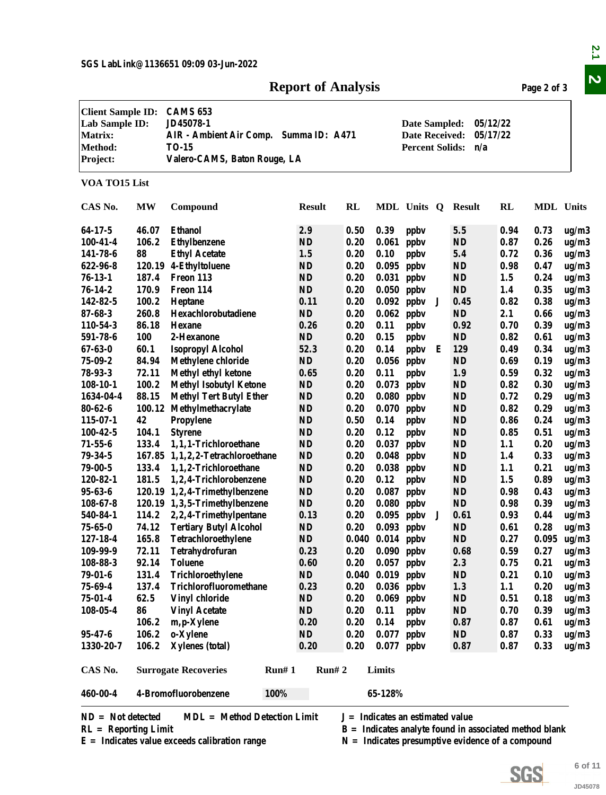#### **Report of Analysis Page 2 of 3**

|                                                                              |                |                                                                                                                        | <b>Report of Analysis</b> |                                                                  |               |                                    |   |                  |                                                                                                                | Page 2 of 3  |         |
|------------------------------------------------------------------------------|----------------|------------------------------------------------------------------------------------------------------------------------|---------------------------|------------------------------------------------------------------|---------------|------------------------------------|---|------------------|----------------------------------------------------------------------------------------------------------------|--------------|---------|
| <b>Client Sample ID:</b><br>Lab Sample ID:<br>Matrix:<br>Method:<br>Project: |                | <b>CAMS 653</b><br>JD45078-1<br>AIR - Ambient Air Comp. Summa ID: A471<br><b>TO-15</b><br>Valero-CAMS, Baton Rouge, LA |                           | Date Sampled:<br><b>Date Received:</b><br><b>Percent Solids:</b> |               |                                    |   |                  |                                                                                                                |              |         |
| VOA TO15 List                                                                |                |                                                                                                                        |                           |                                                                  |               |                                    |   |                  |                                                                                                                |              |         |
| CAS No.                                                                      | <b>MW</b>      | Compound                                                                                                               | <b>Result</b>             | RL                                                               |               | MDL Units Q                        |   | <b>Result</b>    | <b>RL</b>                                                                                                      | MDL Units    |         |
|                                                                              |                |                                                                                                                        |                           |                                                                  |               |                                    |   |                  |                                                                                                                |              |         |
| $64-17-5$<br>$100 - 41 - 4$                                                  | 46.07<br>106.2 | <b>Ethanol</b><br><b>Ethylbenzene</b>                                                                                  | 2.9<br><b>ND</b>          | 0.50<br>0.20                                                     | 0.39<br>0.061 | ppby                               |   | 5.5<br><b>ND</b> | 0.94<br>0.87                                                                                                   | 0.73<br>0.26 | ug/m3   |
|                                                                              | 88             |                                                                                                                        |                           | 0.20                                                             |               | ppby                               |   |                  |                                                                                                                |              | ug/m3   |
| 141-78-6                                                                     |                | <b>Ethyl Acetate</b>                                                                                                   | 1.5                       |                                                                  | 0.10          | ppby                               |   | 5.4              | 0.72                                                                                                           | 0.36         | ug/m3   |
| 622-96-8                                                                     |                | 120.19 4-Ethyltoluene                                                                                                  | ND                        | 0.20                                                             | 0.095         | ppby                               |   | <b>ND</b>        | 0.98                                                                                                           | 0.47         | ug/m3   |
| $76-13-1$                                                                    | 187.4          | Freon 113                                                                                                              | <b>ND</b>                 | 0.20                                                             | 0.031         | ppby                               |   | <b>ND</b>        | 1.5                                                                                                            | 0.24         | ug/m3   |
| $76 - 14 - 2$                                                                | 170.9          | Freon 114                                                                                                              | <b>ND</b>                 | 0.20                                                             | 0.050         | ppby                               |   | ND               | 1.4                                                                                                            | 0.35         | ug/m3   |
| 142-82-5                                                                     | 100.2          | Heptane                                                                                                                | 0.11                      | 0.20                                                             | 0.092         | ppby                               | J | 0.45             | 0.82                                                                                                           | 0.38         | ug/m3   |
| $87 - 68 - 3$                                                                | 260.8          | Hexachlorobutadiene                                                                                                    | <b>ND</b>                 | 0.20                                                             | 0.062         | ppby                               |   | <b>ND</b>        | 2.1                                                                                                            | 0.66         | ug/m3   |
| 110-54-3                                                                     | 86.18          | <b>Hexane</b>                                                                                                          | 0.26                      | 0.20                                                             | 0.11          | ppby                               |   | 0.92             | 0.70                                                                                                           | 0.39         | ug/m3   |
| 591-78-6                                                                     | 100            | 2-Hexanone                                                                                                             | ND                        | 0.20                                                             | 0.15          | ppby                               |   | <b>ND</b>        | 0.82                                                                                                           | 0.61         | ug/m3   |
| $67 - 63 - 0$                                                                | 60.1           | <b>Isopropyl Alcohol</b>                                                                                               | 52.3                      | 0.20                                                             | 0.14          | ppby                               | Е | 129              | 0.49                                                                                                           | 0.34         | ug/m3   |
| $75 - 09 - 2$                                                                | 84.94          | <b>Methylene chloride</b>                                                                                              | ND                        | 0.20                                                             | 0.056         | ppby                               |   | <b>ND</b>        | 0.69                                                                                                           | 0.19         | ug/m3   |
| 78-93-3                                                                      | 72.11          | Methyl ethyl ketone                                                                                                    | 0.65                      | 0.20                                                             | 0.11          | ppby                               |   | 1.9              | 0.59                                                                                                           | 0.32         | ug/m3   |
| $108-10-1$                                                                   | 100.2          | <b>Methyl Isobutyl Ketone</b>                                                                                          | ND                        | 0.20                                                             | 0.073         | ppby                               |   | <b>ND</b>        | 0.82                                                                                                           | 0.30         | ug/m3   |
| 1634-04-4                                                                    | 88.15          | <b>Methyl Tert Butyl Ether</b>                                                                                         | ND                        | 0.20                                                             | 0.080         | ppby                               |   | <b>ND</b>        | 0.72                                                                                                           | 0.29         | ug/m3   |
| $80 - 62 - 6$                                                                | 100.12         | Methylmethacrylate                                                                                                     | ND                        | 0.20                                                             | 0.070         | ppby                               |   | <b>ND</b>        | 0.82                                                                                                           | 0.29         | ug/m3   |
| $115 - 07 - 1$                                                               | 42             | Propylene                                                                                                              | <b>ND</b>                 | 0.50                                                             | 0.14          | ppby                               |   | <b>ND</b>        | 0.86                                                                                                           | 0.24         | ug/m3   |
| $100 - 42 - 5$                                                               | 104.1          | <b>Styrene</b>                                                                                                         | <b>ND</b>                 | 0.20                                                             | 0.12          | ppby                               |   | <b>ND</b>        | 0.85                                                                                                           | 0.51         | ug/m3   |
| $71 - 55 - 6$                                                                | 133.4          | 1,1,1-Trichloroethane                                                                                                  | ND                        | 0.20                                                             | 0.037         | ppby                               |   | <b>ND</b>        | 1.1                                                                                                            | 0.20         | ug/m3   |
| $79 - 34 - 5$                                                                |                | 167.85 1,1,2,2-Tetrachloroethane                                                                                       | <b>ND</b>                 | 0.20                                                             | 0.048         | ppby                               |   | <b>ND</b>        | 1.4                                                                                                            | 0.33         | ug/m3   |
| $79 - 00 - 5$                                                                | 133.4          | 1,1,2-Trichloroethane                                                                                                  | ND                        | 0.20                                                             | 0.038         | ppby                               |   | <b>ND</b>        | 1.1                                                                                                            | 0.21         | ug/m3   |
| 120-82-1                                                                     | 181.5          | 1,2,4-Trichlorobenzene                                                                                                 | ND                        | 0.20                                                             | 0.12          | ppby                               |   | <b>ND</b>        | 1.5                                                                                                            | 0.89         | ug/m3   |
| $95 - 63 - 6$                                                                |                | 120.19 1,2,4-Trimethylbenzene                                                                                          | ND                        | 0.20                                                             | 0.087         | ppby                               |   | <b>ND</b>        | 0.98                                                                                                           | 0.43         | ug/m3   |
| $108 - 67 - 8$                                                               |                | 120.19 1,3,5-Trimethylbenzene                                                                                          | <b>ND</b>                 | 0.20                                                             |               | $0.080$ ppbv                       |   | ND               | 0.98                                                                                                           | 0.39         | ug/m3   |
| 540-84-1                                                                     |                | 114.2 2,2,4-Trimethylpentane                                                                                           | 0.13                      | 0.20                                                             |               | $0.095$ ppbv                       |   | 0.61             | 0.93                                                                                                           | 0.44         | ug/m3   |
| $75 - 65 - 0$                                                                | 74.12          | <b>Tertiary Butyl Alcohol</b>                                                                                          | ND                        | 0.20                                                             | $0.093$ ppbv  |                                    |   | <b>ND</b>        | 0.61                                                                                                           | 0.28         | ug/m3   |
| $127 - 18 - 4$                                                               | 165.8          | Tetrachloroethylene                                                                                                    | $\mathbf{N}\mathbf{D}$    | 0.040                                                            | $0.014$ ppbv  |                                    |   | ND               | 0.27                                                                                                           | 0.095        | ug/m3   |
| 109-99-9                                                                     | 72.11          | Tetrahydrofuran                                                                                                        | 0.23                      | 0.20                                                             |               | $0.090$ ppbv                       |   | 0.68             | 0.59                                                                                                           | 0.27         | ug/m3   |
| 108-88-3                                                                     | 92.14          | <b>Toluene</b>                                                                                                         | 0.60                      | 0.20                                                             |               | $0.057$ ppbv                       |   | 2.3              | 0.75                                                                                                           | 0.21         | ug/m3   |
| $79 - 01 - 6$                                                                | 131.4          | Trichloroethylene                                                                                                      | ND                        | 0.040                                                            | $0.019$ ppbv  |                                    |   | <b>ND</b>        | 0.21                                                                                                           | 0.10         | ug/m3   |
| 75-69-4                                                                      | 137.4          | Trichlorofluoromethane                                                                                                 | 0.23                      | 0.20                                                             |               | $0.036$ ppbv                       |   | 1.3              | 1.1                                                                                                            | 0.20         | ug/m3   |
| $75 - 01 - 4$                                                                | 62.5           | Vinyl chloride                                                                                                         | $\mathbf{ND}$             | 0.20                                                             |               | $0.069$ ppbv                       |   | <b>ND</b>        | 0.51                                                                                                           | 0.18         | ug/m3   |
| $108 - 05 - 4$                                                               | 86             | <b>Vinyl Acetate</b>                                                                                                   | ND                        | 0.20                                                             | 0.11          | ppby                               |   | ND               | 0.70                                                                                                           | 0.39         | ug/m3   |
|                                                                              | 106.2          | m, p-Xylene                                                                                                            | 0.20                      | 0.20                                                             | 0.14          | ppby                               |   | 0.87             | 0.87                                                                                                           | 0.61         | ug/m3   |
| $95 - 47 - 6$                                                                | 106.2          | o-Xylene                                                                                                               | ND                        | 0.20                                                             |               | $0.077$ ppbv                       |   | ND               | 0.87                                                                                                           | 0.33         | ug/m3   |
| 1330-20-7                                                                    | 106.2          | Xylenes (total)                                                                                                        | 0.20                      | 0.20                                                             |               | $0.077$ ppbv                       |   | 0.87             | 0.87                                                                                                           | 0.33         | ug/m3   |
| CAS No.                                                                      |                | <b>Surrogate Recoveries</b><br>Run#1                                                                                   | Run# 2                    |                                                                  | Limits        |                                    |   |                  |                                                                                                                |              |         |
| 460-00-4                                                                     |                | 4-Bromofluorobenzene<br>100%                                                                                           |                           |                                                                  | 65-128%       |                                    |   |                  |                                                                                                                |              |         |
| $ND = Not detected$<br>$RL =$ Reporting Limit                                |                | $MDL = Method Detection Limit$<br>$E =$ Indicates value exceeds calibration range                                      |                           |                                                                  |               | $J = Indicates$ an estimated value |   |                  | $B =$ Indicates analyte found in associated method blank<br>$N =$ Indicates presumptive evidence of a compound |              |         |
|                                                                              |                |                                                                                                                        |                           |                                                                  |               |                                    |   |                  |                                                                                                                |              |         |
|                                                                              |                |                                                                                                                        |                           |                                                                  |               |                                    |   |                  |                                                                                                                |              | 6 of 11 |
|                                                                              |                |                                                                                                                        |                           |                                                                  |               |                                    |   |                  | <b>SGS</b>                                                                                                     |              |         |
|                                                                              |                |                                                                                                                        |                           |                                                                  |               |                                    |   |                  |                                                                                                                |              |         |

#### **Client Sample ID: CAMS 653 Lab Sample ID: JD45078-1 Date Sampled: 05/12/22 Matrix: AIR - Ambient Air Comp. Summa ID: A471 Date Received: 05/17/22**

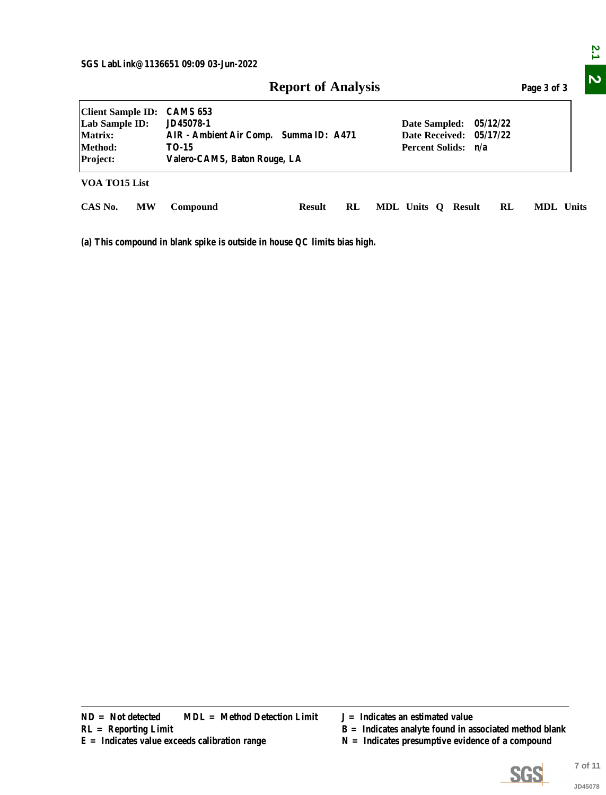|                                               |           | SGS LabLink@1136651 09:09 03-Jun-2022                                                  |               |    |                                    |                                                 |  |                                                    |          | Page 3 of 3                                              |                    |
|-----------------------------------------------|-----------|----------------------------------------------------------------------------------------|---------------|----|------------------------------------|-------------------------------------------------|--|----------------------------------------------------|----------|----------------------------------------------------------|--------------------|
| <b>Client Sample ID:</b><br>Lab Sample ID:    |           | <b>Report of Analysis</b><br><b>CAMS 653</b><br>JD45078-1<br>05/12/22<br>Date Sampled: |               |    |                                    |                                                 |  |                                                    |          |                                                          |                    |
| Matrix:<br>Method:<br>Project:                |           | AIR - Ambient Air Comp. Summa ID: A471<br><b>TO-15</b><br>Valero-CAMS, Baton Rouge, LA |               |    |                                    | <b>Date Received:</b><br><b>Percent Solids:</b> |  | n/a                                                | 05/17/22 |                                                          |                    |
| VOA TO15 List                                 |           |                                                                                        |               |    |                                    |                                                 |  |                                                    |          |                                                          |                    |
| CAS No.                                       | <b>MW</b> | Compound                                                                               | <b>Result</b> | RL |                                    |                                                 |  | MDL Units Q Result                                 | RL       | MDL Units                                                |                    |
|                                               |           | (a) This compound in blank spike is outside in house QC limits bias high.              |               |    |                                    |                                                 |  |                                                    |          |                                                          |                    |
|                                               |           |                                                                                        |               |    |                                    |                                                 |  |                                                    |          |                                                          |                    |
|                                               |           |                                                                                        |               |    |                                    |                                                 |  |                                                    |          |                                                          |                    |
|                                               |           |                                                                                        |               |    |                                    |                                                 |  |                                                    |          |                                                          |                    |
|                                               |           |                                                                                        |               |    |                                    |                                                 |  |                                                    |          |                                                          |                    |
|                                               |           |                                                                                        |               |    |                                    |                                                 |  |                                                    |          |                                                          |                    |
|                                               |           |                                                                                        |               |    |                                    |                                                 |  |                                                    |          |                                                          |                    |
|                                               |           |                                                                                        |               |    |                                    |                                                 |  |                                                    |          |                                                          |                    |
|                                               |           |                                                                                        |               |    |                                    |                                                 |  |                                                    |          |                                                          |                    |
|                                               |           |                                                                                        |               |    |                                    |                                                 |  |                                                    |          |                                                          |                    |
|                                               |           |                                                                                        |               |    |                                    |                                                 |  |                                                    |          |                                                          |                    |
|                                               |           |                                                                                        |               |    |                                    |                                                 |  |                                                    |          |                                                          |                    |
|                                               |           |                                                                                        |               |    |                                    |                                                 |  |                                                    |          |                                                          |                    |
|                                               |           |                                                                                        |               |    |                                    |                                                 |  |                                                    |          |                                                          |                    |
|                                               |           |                                                                                        |               |    |                                    |                                                 |  |                                                    |          |                                                          |                    |
|                                               |           |                                                                                        |               |    |                                    |                                                 |  |                                                    |          |                                                          |                    |
|                                               |           |                                                                                        |               |    |                                    |                                                 |  |                                                    |          |                                                          |                    |
|                                               |           |                                                                                        |               |    |                                    |                                                 |  |                                                    |          |                                                          |                    |
|                                               |           |                                                                                        |               |    |                                    |                                                 |  |                                                    |          |                                                          |                    |
|                                               |           |                                                                                        |               |    |                                    |                                                 |  |                                                    |          |                                                          |                    |
|                                               |           |                                                                                        |               |    |                                    |                                                 |  |                                                    |          |                                                          |                    |
| $ND = Not detected$<br>$RL =$ Reporting Limit |           | <b>MDL</b> = Method Detection Limit<br>$E =$ Indicates value exceeds calibration range |               |    | $J = Indicates$ an estimated value |                                                 |  | $N =$ Indicates presumptive evidence of a compound |          | $B =$ Indicates analyte found in associated method blank |                    |
|                                               |           |                                                                                        |               |    |                                    |                                                 |  |                                                    |          | <b>SGS</b>                                               | 7 of 11<br>JD45078 |

- 
- 
- $N =$  Indicates presumptive evidence of a compound



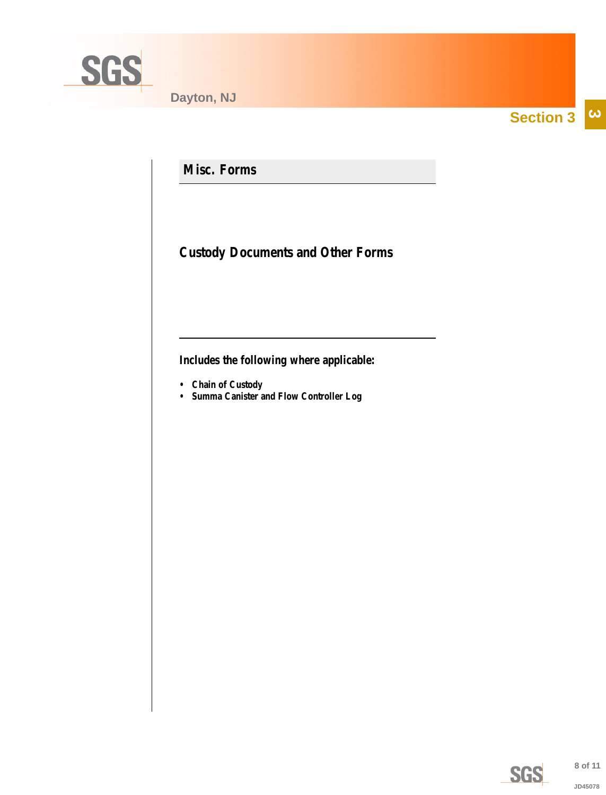<span id="page-7-0"></span>

**Section 3**  $\overline{\omega}$ 

**Misc. Forms**

**Custody Documents and Other Forms**

**Includes the following where applicable:**

- **Chain of Custody**
- **Summa Canister and Flow Controller Log**

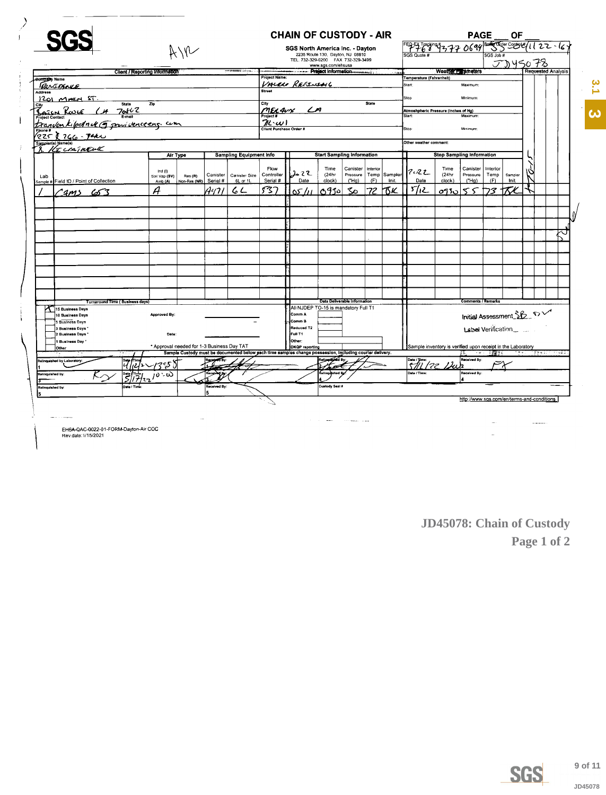|                                            |                                            |                                                                                                          |                                |                                       | <b>CHAIN OF CUSTODY - AIR</b>        |                                                                        |                                 |              |              |                                                             |                                  | <b>PAGE</b>               |          | ОF                 |  |                                  |    |  |
|--------------------------------------------|--------------------------------------------|----------------------------------------------------------------------------------------------------------|--------------------------------|---------------------------------------|--------------------------------------|------------------------------------------------------------------------|---------------------------------|--------------|--------------|-------------------------------------------------------------|----------------------------------|---------------------------|----------|--------------------|--|----------------------------------|----|--|
|                                            |                                            |                                                                                                          |                                |                                       |                                      |                                                                        | SGS North America Inc. - Dayton |              |              | 5 9 9 6 9 19 9 7 7 7 0 6 9 9 2 5 5 5 2 5 6 7 1 2 2 - 1 6 7  |                                  |                           |          |                    |  |                                  |    |  |
|                                            |                                            |                                                                                                          |                                |                                       |                                      | 2235 Route 130, Dayton, NJ 08810<br>TEL. 732-329-0200 FAX 732-329-3499 |                                 |              |              |                                                             |                                  |                           | GS Job # |                    |  |                                  |    |  |
|                                            |                                            |                                                                                                          |                                | www.sgs.com/ehsusa                    |                                      |                                                                        |                                 |              |              |                                                             |                                  | JD45078                   |          |                    |  |                                  |    |  |
|                                            | Client / Reporting Information             |                                                                                                          |                                | ------ Preject Information<br>، پاکست |                                      |                                                                        |                                 |              |              |                                                             | Weather Empires                  | Requested Analysis        |          |                    |  |                                  |    |  |
| <b>Company Name</b>                        |                                            |                                                                                                          |                                | <b>Project Name:</b>                  |                                      |                                                                        |                                 |              |              | Temperature (Fahrenheit)                                    |                                  |                           |          |                    |  |                                  |    |  |
| Renthence                                  |                                            |                                                                                                          |                                |                                       | VALEN REFINING                       |                                                                        |                                 |              |              | Start:                                                      |                                  | Maximum:                  |          |                    |  |                                  |    |  |
| Address                                    |                                            |                                                                                                          |                                |                                       |                                      |                                                                        |                                 |              |              | Stop                                                        |                                  | Minimum:                  |          |                    |  |                                  |    |  |
| $1201$ MATH ST<br><b>State</b>             | Zip                                        |                                                                                                          |                                | City                                  |                                      |                                                                        |                                 | <b>State</b> |              |                                                             |                                  |                           |          |                    |  |                                  |    |  |
|                                            |                                            |                                                                                                          |                                |                                       | MELANY LA                            |                                                                        |                                 |              |              | Atmoshpheric Pressure (Inches of Hg)                        |                                  |                           |          |                    |  |                                  |    |  |
| <u>Concret Result (14 70462</u>            |                                            |                                                                                                          |                                | Project #<br>$\mathcal{H}(\omega)$    |                                      |                                                                        |                                 |              |              | Start:                                                      |                                  | Maximum                   |          |                    |  |                                  |    |  |
|                                            | kipchack of pour vence eng. com            |                                                                                                          |                                |                                       |                                      |                                                                        |                                 |              |              |                                                             |                                  | Minimum                   |          |                    |  |                                  |    |  |
| $(225)$ 766.740                            |                                            |                                                                                                          |                                | Client Purchase Order #               |                                      |                                                                        |                                 |              |              | Stop:                                                       |                                  |                           |          |                    |  |                                  |    |  |
| ampler(s) Name(s)<br>8. KECCAINELL         |                                            |                                                                                                          |                                |                                       |                                      |                                                                        |                                 |              |              | Other weather comment:                                      |                                  |                           |          |                    |  |                                  |    |  |
|                                            | Air Type                                   |                                                                                                          | <b>Sampling Equipment Info</b> |                                       |                                      | <b>Start Sampling Information</b>                                      |                                 |              |              |                                                             | <b>Stop Sampling Information</b> |                           |          |                    |  |                                  |    |  |
|                                            |                                            |                                                                                                          |                                | Flow                                  |                                      | Time                                                                   | Canister                        | Interior     |              |                                                             | Time                             | Canister                  | Interior |                    |  |                                  |    |  |
| Lab                                        | Ind $(1)$<br>Soil Vap (SV)                 | Canister<br>Res(R)                                                                                       | Canister Size                  | Controller                            | しんてて                                 | (24hr                                                                  | Pressure                        |              | Temp Sampler | <b>7022</b>                                                 | (24hr                            | Pressure                  | Temp     | Sampler            |  |                                  |    |  |
| Sample # Field ID / Point of Collection    | Amb (A)                                    | Serial #<br>Non-Res (NR)                                                                                 | 6L or 1L                       | Serial #                              | Date                                 | clock)                                                                 | ("Ha)                           | (F)          | Init.        | Date                                                        | clock)                           | ("Ha)                     | (F)      | Init.              |  |                                  |    |  |
| $2m3$ 653                                  | Ĥ                                          | A41 I                                                                                                    | 62                             | 537                                   | ۱۵۲ که ا                             | 6910                                                                   | $\infty$                        | 72           | hκκ          | براكا                                                       | 0930                             | 55                        | マ        |                    |  |                                  |    |  |
|                                            |                                            |                                                                                                          |                                |                                       |                                      |                                                                        |                                 |              |              |                                                             |                                  |                           |          |                    |  |                                  |    |  |
|                                            |                                            |                                                                                                          |                                |                                       |                                      |                                                                        |                                 |              |              |                                                             |                                  |                           |          |                    |  |                                  |    |  |
|                                            |                                            |                                                                                                          |                                |                                       |                                      |                                                                        |                                 |              |              |                                                             |                                  |                           |          |                    |  |                                  |    |  |
|                                            |                                            |                                                                                                          |                                |                                       |                                      |                                                                        |                                 |              |              |                                                             |                                  |                           |          |                    |  |                                  | ل≻ |  |
|                                            |                                            |                                                                                                          |                                |                                       |                                      |                                                                        |                                 |              |              |                                                             |                                  |                           |          |                    |  |                                  |    |  |
|                                            |                                            |                                                                                                          |                                |                                       |                                      |                                                                        |                                 |              |              |                                                             |                                  |                           |          |                    |  |                                  |    |  |
|                                            |                                            |                                                                                                          |                                |                                       |                                      |                                                                        |                                 |              |              |                                                             |                                  |                           |          |                    |  |                                  |    |  |
|                                            |                                            |                                                                                                          |                                |                                       |                                      |                                                                        |                                 |              |              |                                                             |                                  |                           |          |                    |  |                                  |    |  |
|                                            |                                            |                                                                                                          |                                |                                       |                                      |                                                                        |                                 |              |              |                                                             |                                  |                           |          |                    |  |                                  |    |  |
|                                            |                                            |                                                                                                          |                                |                                       |                                      |                                                                        |                                 |              |              |                                                             |                                  |                           |          |                    |  |                                  |    |  |
|                                            |                                            |                                                                                                          |                                |                                       |                                      |                                                                        |                                 |              |              |                                                             |                                  |                           |          |                    |  |                                  |    |  |
|                                            |                                            |                                                                                                          |                                |                                       |                                      |                                                                        |                                 |              |              |                                                             |                                  |                           |          |                    |  |                                  |    |  |
| Turnaround Time (Business days)            |                                            |                                                                                                          |                                |                                       |                                      | Data Deliverable Information                                           |                                 |              |              |                                                             |                                  | <b>Comments / Remarks</b> |          |                    |  |                                  |    |  |
| 15 Business Days                           |                                            |                                                                                                          |                                |                                       | All NJDEP TO-15 is mandatory Full T1 |                                                                        |                                 |              |              |                                                             |                                  |                           |          |                    |  |                                  |    |  |
| 10 Business Days                           | Approved By:                               |                                                                                                          |                                |                                       | Comm A                               |                                                                        |                                 |              |              |                                                             |                                  | Initial Assessment SB DV  |          |                    |  |                                  |    |  |
| 5 Business Days                            |                                            |                                                                                                          |                                |                                       | Comm B                               |                                                                        |                                 |              |              |                                                             |                                  |                           |          |                    |  |                                  |    |  |
| 3 Business Days                            |                                            |                                                                                                          |                                |                                       | Reduced T2                           |                                                                        |                                 |              |              |                                                             |                                  |                           |          | Label Verification |  |                                  |    |  |
| 2 Business Days                            | Date:                                      |                                                                                                          |                                |                                       | <b>Full T1</b>                       |                                                                        |                                 |              |              |                                                             |                                  |                           |          |                    |  |                                  |    |  |
| 1 Business Day<br>Other                    | * Approval needed for 1-3 Business Day TAT |                                                                                                          |                                |                                       | Other:<br>DKQP reporting             |                                                                        |                                 |              |              | Sample inventory is verified upon receipt in the Laboratory |                                  |                           |          |                    |  |                                  |    |  |
|                                            |                                            | Sample Custody must be documented below pach time samples change possession, including courier delivery. |                                |                                       |                                      |                                                                        |                                 |              |              |                                                             |                                  | YK.                       |          |                    |  | - アルコーン製造をおいて アチメント アチャコンド アルネスク |    |  |
| Relinquished by Laboratory:<br>$ y\rangle$ |                                            |                                                                                                          |                                |                                       |                                      | Religion of By:                                                        |                                 |              |              | $\sqrt{\frac{D_{\text{at}}(r)}{T}}$                         |                                  | Received By:<br>J2        |          |                    |  |                                  |    |  |
| 芎<br>Relinguished by:                      | ده ده                                      | <b>Received</b> By                                                                                       |                                |                                       |                                      | elinguished By                                                         |                                 |              |              | Date / Time:                                                |                                  | Received By               |          |                    |  |                                  |    |  |
|                                            |                                            |                                                                                                          |                                |                                       |                                      |                                                                        |                                 |              |              |                                                             |                                  |                           |          |                    |  |                                  |    |  |
| Date / Tim<br>Relinquished by:             |                                            | Received By:<br>5                                                                                        |                                |                                       |                                      | Custody Seal #                                                         |                                 |              |              |                                                             |                                  |                           |          |                    |  |                                  |    |  |
|                                            |                                            |                                                                                                          |                                |                                       |                                      |                                                                        |                                 |              |              |                                                             |                                  |                           |          |                    |  |                                  |    |  |

 $\sim$ 

 $\sim 100$  masses at  $\sim 100$ 

EHSA-QAC-0022-01-FORM-Dayton-Air COC<br>Rev.date:1/15/2021

<span id="page-8-0"></span> $\overline{\phantom{a}}$ 

 $\mathbf{I}$ 

JD45078: Chain of Custody Page 1 of 2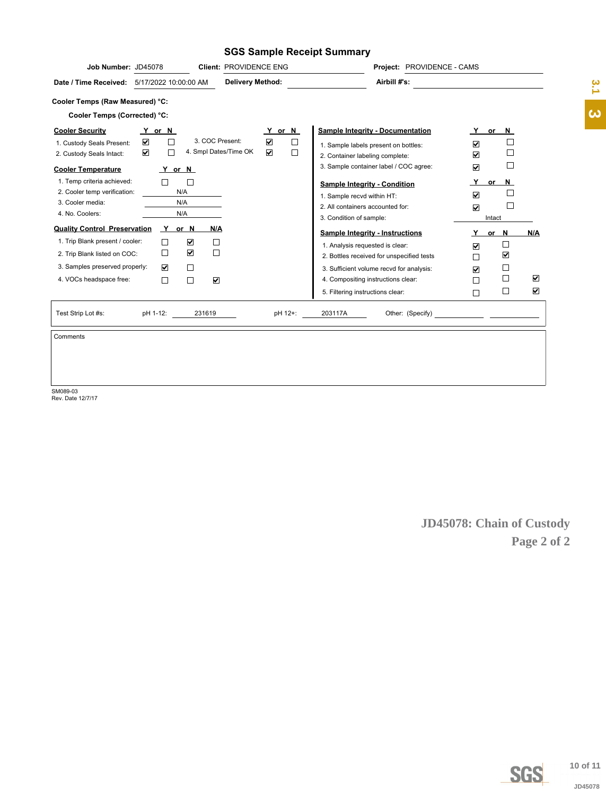#### **SGS Sample Receipt Summary**

| Job Number: JD45078                                                                                             |                                                                               | Client: PROVIDENCE ENG                   |                                                                                          |                                                                                                                                  | Project: PROVIDENCE - CAMS                |                                                                         |                                          |             |                       |
|-----------------------------------------------------------------------------------------------------------------|-------------------------------------------------------------------------------|------------------------------------------|------------------------------------------------------------------------------------------|----------------------------------------------------------------------------------------------------------------------------------|-------------------------------------------|-------------------------------------------------------------------------|------------------------------------------|-------------|-----------------------|
| Date / Time Received: 5/17/2022 10:00:00 AM                                                                     |                                                                               |                                          | <b>Delivery Method:</b>                                                                  |                                                                                                                                  | Airbill #'s:                              |                                                                         |                                          |             | $\frac{2}{3}$         |
| Cooler Temps (Raw Measured) °C:                                                                                 |                                                                               |                                          |                                                                                          |                                                                                                                                  |                                           |                                                                         |                                          |             | $\boldsymbol{\omega}$ |
| Cooler Temps (Corrected) °C:<br><b>Cooler Security</b><br>1. Custody Seals Present:<br>2. Custody Seals Intact: | Y or N<br>$\blacktriangledown$<br>$\Box$<br>$\overline{\mathbf{v}}$<br>$\Box$ | 3. COC Present:<br>4. Smpl Dates/Time OK | Y or N<br>$\color{red}\blacktriangledown$<br>$\Box$<br>$\overline{\mathbf{v}}$<br>$\Box$ | 1. Sample labels present on bottles:                                                                                             | <b>Sample Integrity - Documentation</b>   | Y<br>☑                                                                  | or $N$<br>$\Box$<br>$\Box$               |             |                       |
| <b>Cooler Temperature</b>                                                                                       | Y or N                                                                        |                                          |                                                                                          | 2. Container labeling complete:                                                                                                  | 3. Sample container label / COC agree:    | ☑<br>$\overline{\textbf{M}}$                                            | $\Box$                                   |             |                       |
| 1. Temp criteria achieved:<br>2. Cooler temp verification:<br>3. Cooler media:<br>4. No. Coolers:               | $\Box$<br>$\Box$<br>N/A<br>N/A<br>N/A                                         |                                          |                                                                                          | <b>Sample Integrity - Condition</b><br>1. Sample recvd within HT:<br>2. All containers accounted for:<br>3. Condition of sample: |                                           | <u>Y</u><br>$\boxed{\blacksquare}$<br>$\overline{\mathbf{v}}$<br>Intact | $or$ N<br>$\Box$<br>$\Box$               |             |                       |
| <b>Quality Control Preservation</b>                                                                             | Y or N                                                                        | <u>N/A</u>                               |                                                                                          | <b>Sample Integrity - Instructions</b>                                                                                           |                                           | Y or N                                                                  | N/A                                      |             |                       |
| 1. Trip Blank present / cooler:                                                                                 | $\color{red}\blacktriangledown$<br>$\Box$                                     | $\Box$                                   |                                                                                          | 1. Analysis requested is clear:                                                                                                  |                                           | $\color{red}\blacktriangledown$                                         | $\Box$                                   |             |                       |
| 2. Trip Blank listed on COC:                                                                                    | $\color{red}\blacktriangledown$<br>$\Box$                                     | $\Box$                                   |                                                                                          |                                                                                                                                  | 2. Bottles received for unspecified tests | □                                                                       | $\overline{\mathbf{v}}$                  |             |                       |
| 3. Samples preserved properly:<br>4. VOCs headspace free:                                                       | $\blacktriangledown$<br>$\Box$<br>$\Box$<br>$\Box$                            | $\color{red}\blacktriangledown$          |                                                                                          | 4. Compositing instructions clear:                                                                                               | 3. Sufficient volume recvd for analysis:  | $\overline{\mathbf{v}}$<br>□                                            | $\Box$<br>$\Box$<br>$\blacktriangledown$ |             |                       |
|                                                                                                                 |                                                                               |                                          |                                                                                          | 5. Filtering instructions clear:                                                                                                 |                                           | □                                                                       | $\Box$<br>$\blacktriangledown$           |             |                       |
| Test Strip Lot #s:                                                                                              | pH 1-12:                                                                      | 231619                                   | pH 12+:                                                                                  | 203117A                                                                                                                          |                                           |                                                                         |                                          |             |                       |
| Comments                                                                                                        |                                                                               |                                          |                                                                                          |                                                                                                                                  |                                           |                                                                         |                                          |             |                       |
|                                                                                                                 |                                                                               |                                          |                                                                                          |                                                                                                                                  |                                           |                                                                         |                                          |             |                       |
|                                                                                                                 |                                                                               |                                          |                                                                                          |                                                                                                                                  |                                           | JD45078: Chain of Custody                                               |                                          | Page 2 of 2 |                       |
|                                                                                                                 |                                                                               |                                          |                                                                                          |                                                                                                                                  |                                           |                                                                         |                                          |             |                       |
|                                                                                                                 |                                                                               |                                          |                                                                                          |                                                                                                                                  |                                           |                                                                         | <b>SGS</b>                               |             | 10 of 11<br>JD45078   |